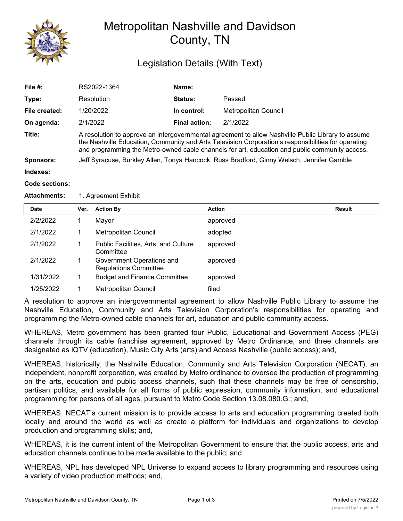

# Metropolitan Nashville and Davidson County, TN

## Legislation Details (With Text)

| File #:       | RS2022-1364                                                                                                                                                                                                                                                                                                 | Name:          |                      |  |  |  |
|---------------|-------------------------------------------------------------------------------------------------------------------------------------------------------------------------------------------------------------------------------------------------------------------------------------------------------------|----------------|----------------------|--|--|--|
| Type:         | Resolution                                                                                                                                                                                                                                                                                                  | <b>Status:</b> | Passed               |  |  |  |
| File created: | 1/20/2022                                                                                                                                                                                                                                                                                                   | In control:    | Metropolitan Council |  |  |  |
| On agenda:    | 2/1/2022                                                                                                                                                                                                                                                                                                    | Final action:  | 2/1/2022             |  |  |  |
| Title:        | A resolution to approve an intergovernmental agreement to allow Nashville Public Library to assume<br>the Nashville Education, Community and Arts Television Corporation's responsibilities for operating<br>and programming the Metro-owned cable channels for art, education and public community access. |                |                      |  |  |  |
| Sponsors:     | Jeff Syracuse, Burkley Allen, Tonya Hancock, Russ Bradford, Ginny Welsch, Jennifer Gamble                                                                                                                                                                                                                   |                |                      |  |  |  |
| Indexes:      |                                                                                                                                                                                                                                                                                                             |                |                      |  |  |  |
|               |                                                                                                                                                                                                                                                                                                             |                |                      |  |  |  |

#### **Code sections:**

#### Attachments: 1. Agreement Exhibit

| <b>Date</b> | Ver. | <b>Action By</b>                                          | <b>Action</b> | <b>Result</b> |
|-------------|------|-----------------------------------------------------------|---------------|---------------|
| 2/2/2022    |      | Mayor                                                     | approved      |               |
| 2/1/2022    |      | Metropolitan Council                                      | adopted       |               |
| 2/1/2022    |      | Public Facilities, Arts, and Culture<br>Committee         | approved      |               |
| 2/1/2022    |      | Government Operations and<br><b>Regulations Committee</b> | approved      |               |
| 1/31/2022   |      | <b>Budget and Finance Committee</b>                       | approved      |               |
| 1/25/2022   |      | Metropolitan Council                                      | filed         |               |

A resolution to approve an intergovernmental agreement to allow Nashville Public Library to assume the Nashville Education, Community and Arts Television Corporation's responsibilities for operating and programming the Metro-owned cable channels for art, education and public community access.

WHEREAS, Metro government has been granted four Public, Educational and Government Access (PEG) channels through its cable franchise agreement, approved by Metro Ordinance, and three channels are designated as iQTV (education), Music City Arts (arts) and Access Nashville (public access); and,

WHEREAS, historically, the Nashville Education, Community and Arts Television Corporation (NECAT), an independent, nonprofit corporation, was created by Metro ordinance to oversee the production of programming on the arts, education and public access channels, such that these channels may be free of censorship, partisan politics, and available for all forms of public expression, community information, and educational programming for persons of all ages, pursuant to Metro Code Section 13.08.080.G.; and,

WHEREAS, NECAT's current mission is to provide access to arts and education programming created both locally and around the world as well as create a platform for individuals and organizations to develop production and programming skills; and,

WHEREAS, it is the current intent of the Metropolitan Government to ensure that the public access, arts and education channels continue to be made available to the public; and,

WHEREAS, NPL has developed NPL Universe to expand access to library programming and resources using a variety of video production methods; and,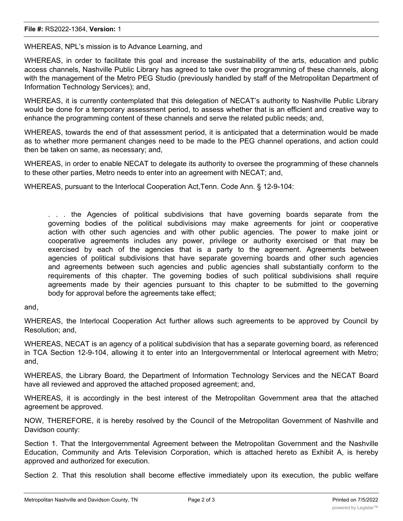WHEREAS, NPL's mission is to Advance Learning, and

WHEREAS, in order to facilitate this goal and increase the sustainability of the arts, education and public access channels, Nashville Public Library has agreed to take over the programming of these channels, along with the management of the Metro PEG Studio (previously handled by staff of the Metropolitan Department of Information Technology Services); and,

WHEREAS, it is currently contemplated that this delegation of NECAT's authority to Nashville Public Library would be done for a temporary assessment period, to assess whether that is an efficient and creative way to enhance the programming content of these channels and serve the related public needs; and,

WHEREAS, towards the end of that assessment period, it is anticipated that a determination would be made as to whether more permanent changes need to be made to the PEG channel operations, and action could then be taken on same, as necessary; and,

WHEREAS, in order to enable NECAT to delegate its authority to oversee the programming of these channels to these other parties, Metro needs to enter into an agreement with NECAT; and,

WHEREAS, pursuant to the Interlocal Cooperation Act,Tenn. Code Ann. § 12-9-104:

. . . the Agencies of political subdivisions that have governing boards separate from the governing bodies of the political subdivisions may make agreements for joint or cooperative action with other such agencies and with other public agencies. The power to make joint or cooperative agreements includes any power, privilege or authority exercised or that may be exercised by each of the agencies that is a party to the agreement. Agreements between agencies of political subdivisions that have separate governing boards and other such agencies and agreements between such agencies and public agencies shall substantially conform to the requirements of this chapter. The governing bodies of such political subdivisions shall require agreements made by their agencies pursuant to this chapter to be submitted to the governing body for approval before the agreements take effect;

and,

WHEREAS, the Interlocal Cooperation Act further allows such agreements to be approved by Council by Resolution; and,

WHEREAS, NECAT is an agency of a political subdivision that has a separate governing board, as referenced in TCA Section 12-9-104, allowing it to enter into an Intergovernmental or Interlocal agreement with Metro; and,

WHEREAS, the Library Board, the Department of Information Technology Services and the NECAT Board have all reviewed and approved the attached proposed agreement; and,

WHEREAS, it is accordingly in the best interest of the Metropolitan Government area that the attached agreement be approved.

NOW, THEREFORE, it is hereby resolved by the Council of the Metropolitan Government of Nashville and Davidson county:

Section 1. That the Intergovernmental Agreement between the Metropolitan Government and the Nashville Education, Community and Arts Television Corporation, which is attached hereto as Exhibit A, is hereby approved and authorized for execution.

Section 2. That this resolution shall become effective immediately upon its execution, the public welfare